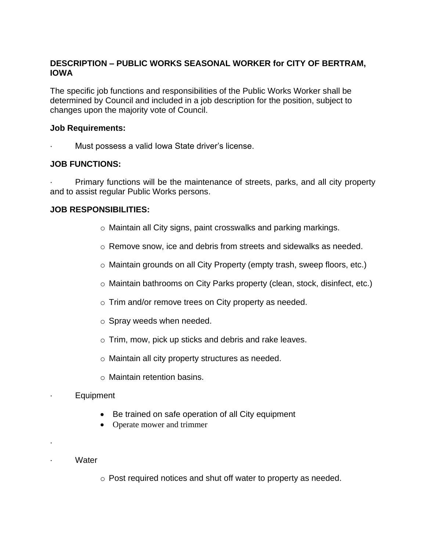## **DESCRIPTION – PUBLIC WORKS SEASONAL WORKER for CITY OF BERTRAM, IOWA**

The specific job functions and responsibilities of the Public Works Worker shall be determined by Council and included in a job description for the position, subject to changes upon the majority vote of Council.

#### **Job Requirements:**

Must possess a valid Iowa State driver's license.

## **JOB FUNCTIONS:**

Primary functions will be the maintenance of streets, parks, and all city property and to assist regular Public Works persons.

## **JOB RESPONSIBILITIES:**

- o Maintain all City signs, paint crosswalks and parking markings.
- $\circ$  Remove snow, ice and debris from streets and sidewalks as needed.
- o Maintain grounds on all City Property (empty trash, sweep floors, etc.)
- o Maintain bathrooms on City Parks property (clean, stock, disinfect, etc.)
- o Trim and/or remove trees on City property as needed.
- o Spray weeds when needed.
- o Trim, mow, pick up sticks and debris and rake leaves.
- o Maintain all city property structures as needed.
- o Maintain retention basins.
- **Equipment** 
	- Be trained on safe operation of all City equipment
	- Operate mower and trimmer
- · Water

·

o Post required notices and shut off water to property as needed.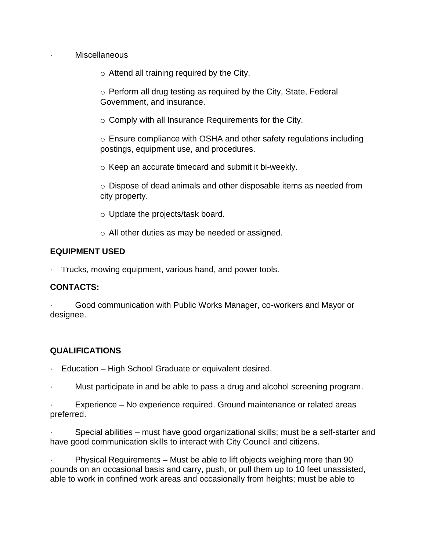Miscellaneous

o Attend all training required by the City.

o Perform all drug testing as required by the City, State, Federal Government, and insurance.

o Comply with all Insurance Requirements for the City.

o Ensure compliance with OSHA and other safety regulations including postings, equipment use, and procedures.

o Keep an accurate timecard and submit it bi-weekly.

 $\circ$  Dispose of dead animals and other disposable items as needed from city property.

o Update the projects/task board.

o All other duties as may be needed or assigned.

## **EQUIPMENT USED**

Trucks, mowing equipment, various hand, and power tools.

#### **CONTACTS:**

Good communication with Public Works Manager, co-workers and Mayor or designee.

# **QUALIFICATIONS**

- Education High School Graduate or equivalent desired.
- · Must participate in and be able to pass a drug and alcohol screening program.

Experience – No experience required. Ground maintenance or related areas preferred.

Special abilities – must have good organizational skills; must be a self-starter and have good communication skills to interact with City Council and citizens.

Physical Requirements – Must be able to lift objects weighing more than 90 pounds on an occasional basis and carry, push, or pull them up to 10 feet unassisted, able to work in confined work areas and occasionally from heights; must be able to